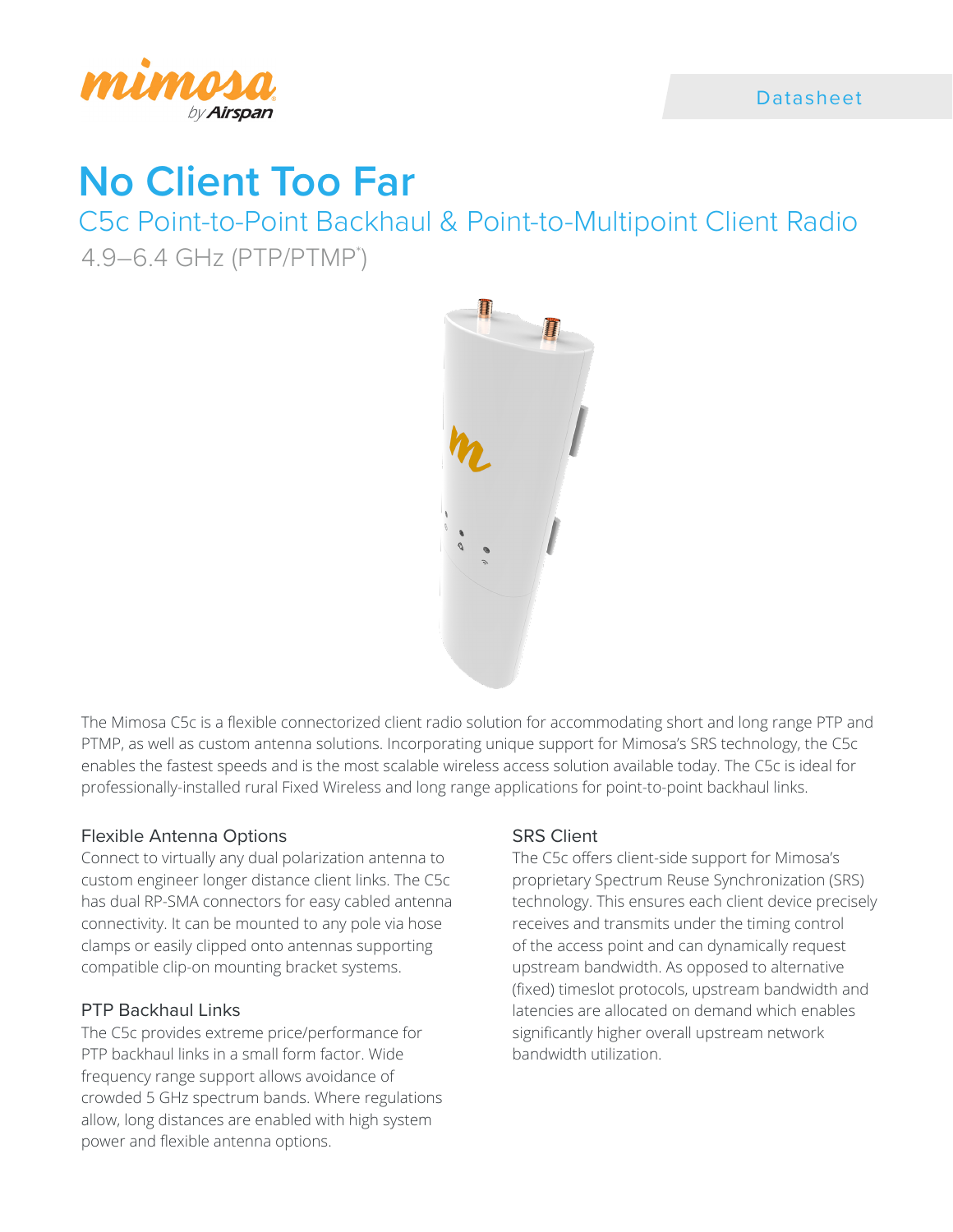

# **No Client Too Far**

C5c Point-to-Point Backhaul & Point-to-Multipoint Client Radio 4.9–6.4 GHz (PTP/PTMP\* )



The Mimosa C5c is a flexible connectorized client radio solution for accommodating short and long range PTP and PTMP, as well as custom antenna solutions. Incorporating unique support for Mimosa's SRS technology, the C5c enables the fastest speeds and is the most scalable wireless access solution available today. The C5c is ideal for professionally-installed rural Fixed Wireless and long range applications for point-to-point backhaul links.

## Flexible Antenna Options

Connect to virtually any dual polarization antenna to custom engineer longer distance client links. The C5c has dual RP-SMA connectors for easy cabled antenna connectivity. It can be mounted to any pole via hose clamps or easily clipped onto antennas supporting compatible clip-on mounting bracket systems.

## PTP Backhaul Links

The C5c provides extreme price/performance for PTP backhaul links in a small form factor. Wide frequency range support allows avoidance of crowded 5 GHz spectrum bands. Where regulations allow, long distances are enabled with high system power and flexible antenna options.

## SRS Client

The C5c offers client-side support for Mimosa's proprietary Spectrum Reuse Synchronization (SRS) technology. This ensures each client device precisely receives and transmits under the timing control of the access point and can dynamically request upstream bandwidth. As opposed to alternative (fixed) timeslot protocols, upstream bandwidth and latencies are allocated on demand which enables significantly higher overall upstream network bandwidth utilization.